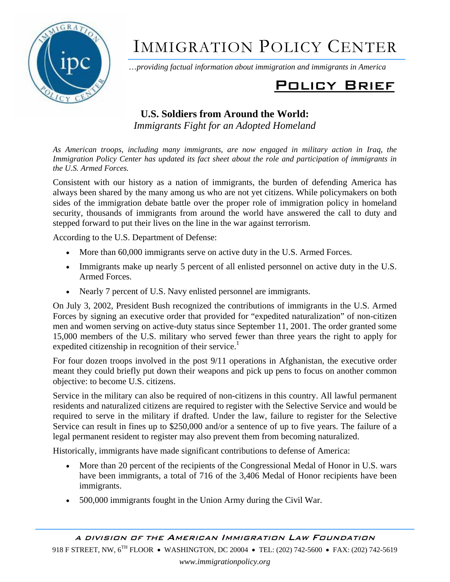

# IMMIGRATION POLICY CENTER

…*providing factual information about immigration and immigrants in America*

## Policy Brief

### **U.S. Soldiers from Around the World:**  *Immigrants Fight for an Adopted Homeland*

*As American troops, including many immigrants, are now engaged in military action in Iraq, the Immigration Policy Center has updated its fact sheet about the role and participation of immigrants in the U.S. Armed Forces.* 

Consistent with our history as a nation of immigrants, the burden of defending America has always been shared by the many among us who are not yet citizens. While policymakers on both sides of the immigration debate battle over the proper role of immigration policy in homeland security, thousands of immigrants from around the world have answered the call to duty and stepped forward to put their lives on the line in the war against terrorism.

According to the U.S. Department of Defense:

- More than 60,000 immigrants serve on active duty in the U.S. Armed Forces.
- Immigrants make up nearly 5 percent of all enlisted personnel on active duty in the U.S. Armed Forces.
- Nearly 7 percent of U.S. Navy enlisted personnel are immigrants.

On July 3, 2002, President Bush recognized the contributions of immigrants in the U.S. Armed Forces by signing an executive order that provided for "expedited naturalization" of non-citizen men and women serving on active-duty status since September 11, 2001. The order granted some 15,000 members of the U.S. military who served fewer than three years the right to apply for expedited citizenship in recognition of their service.<sup>1</sup>

For four dozen troops involved in the post 9/11 operations in Afghanistan, the executive order meant they could briefly put down their weapons and pick up pens to focus on another common objective: to become U.S. citizens.

Service in the military can also be required of non-citizens in this country. All lawful permanent residents and naturalized citizens are required to register with the Selective Service and would be required to serve in the military if drafted. Under the law, failure to register for the Selective Service can result in fines up to \$250,000 and/or a sentence of up to five years. The failure of a legal permanent resident to register may also prevent them from becoming naturalized.

Historically, immigrants have made significant contributions to defense of America:

- More than 20 percent of the recipients of the Congressional Medal of Honor in U.S. wars have been immigrants, a total of 716 of the 3,406 Medal of Honor recipients have been immigrants.
- 500,000 immigrants fought in the Union Army during the Civil War.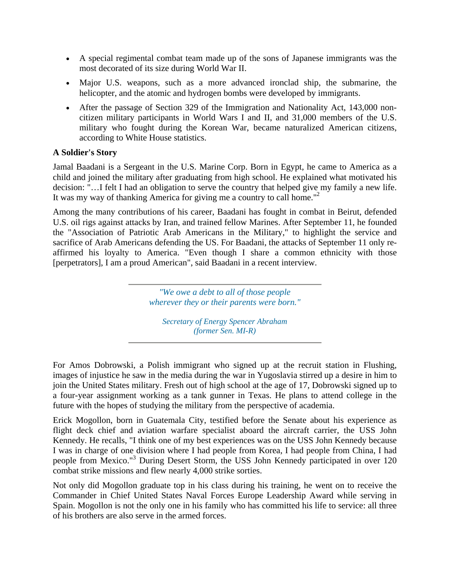- A special regimental combat team made up of the sons of Japanese immigrants was the most decorated of its size during World War II.
- Major U.S. weapons, such as a more advanced ironclad ship, the submarine, the helicopter, and the atomic and hydrogen bombs were developed by immigrants.
- After the passage of Section 329 of the Immigration and Nationality Act, 143,000 noncitizen military participants in World Wars I and II, and 31,000 members of the U.S. military who fought during the Korean War, became naturalized American citizens, according to White House statistics.

#### **A Soldier's Story**

Jamal Baadani is a Sergeant in the U.S. Marine Corp. Born in Egypt, he came to America as a child and joined the military after graduating from high school. He explained what motivated his decision: "…I felt I had an obligation to serve the country that helped give my family a new life. It was my way of thanking America for giving me a country to call home. $"$ 

Among the many contributions of his career, Baadani has fought in combat in Beirut, defended U.S. oil rigs against attacks by Iran, and trained fellow Marines. After September 11, he founded the "Association of Patriotic Arab Americans in the Military," to highlight the service and sacrifice of Arab Americans defending the US. For Baadani, the attacks of September 11 only reaffirmed his loyalty to America. "Even though I share a common ethnicity with those [perpetrators], I am a proud American", said Baadani in a recent interview.

> *"We owe a debt to all of those people wherever they or their parents were born."*

*Secretary of Energy Spencer Abraham (former Sen. MI-R)*

For Amos Dobrowski, a Polish immigrant who signed up at the recruit station in Flushing, images of injustice he saw in the media during the war in Yugoslavia stirred up a desire in him to join the United States military. Fresh out of high school at the age of 17, Dobrowski signed up to a four-year assignment working as a tank gunner in Texas. He plans to attend college in the future with the hopes of studying the military from the perspective of academia.

Erick Mogollon, born in Guatemala City, testified before the Senate about his experience as flight deck chief and aviation warfare specialist aboard the aircraft carrier, the USS John Kennedy. He recalls, "I think one of my best experiences was on the USS John Kennedy because I was in charge of one division where I had people from Korea, I had people from China, I had people from Mexico."3 During Desert Storm, the USS John Kennedy participated in over 120 combat strike missions and flew nearly 4,000 strike sorties.

Not only did Mogollon graduate top in his class during his training, he went on to receive the Commander in Chief United States Naval Forces Europe Leadership Award while serving in Spain. Mogollon is not the only one in his family who has committed his life to service: all three of his brothers are also serve in the armed forces.